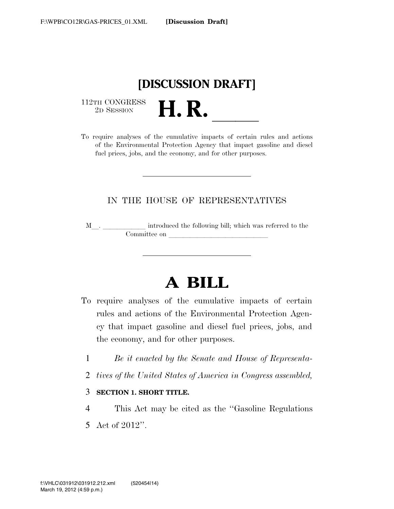

 $\begin{array}{c} \textbf{112TH CONGRESS} \\ \textbf{2D} \textbf{Session} \end{array}$ 

112TH CONGRESS<br>
2D SESSION<br>
To require analyses of the cumulative impacts of certain rules and actions of the Environmental Protection Agency that impact gasoline and diesel fuel prices, jobs, and the economy, and for other purposes.

### IN THE HOUSE OF REPRESENTATIVES

M<sub>\_\_\_</sub>. \_\_\_\_\_\_\_\_\_\_\_\_\_ introduced the following bill; which was referred to the Committee on late and the latest state of  $\overline{\phantom{a}}$ 

# **A BILL**

- To require analyses of the cumulative impacts of certain rules and actions of the Environmental Protection Agency that impact gasoline and diesel fuel prices, jobs, and the economy, and for other purposes.
	- 1 *Be it enacted by the Senate and House of Representa-*
	- 2 *tives of the United States of America in Congress assembled,*

### 3 **SECTION 1. SHORT TITLE.**

4 This Act may be cited as the ''Gasoline Regulations 5 Act of 2012''.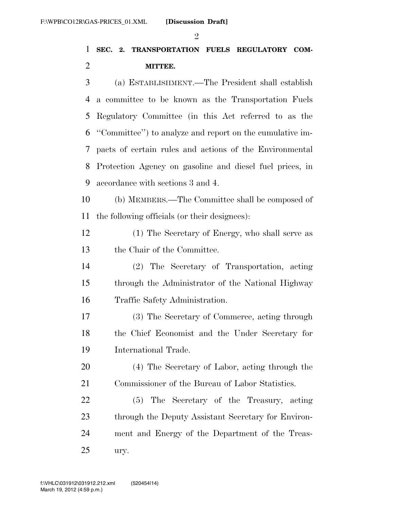#### $\mathfrak{D}$

### **SEC. 2. TRANSPORTATION FUELS REGULATORY COM-MITTEE.**

 (a) ESTABLISHMENT.—The President shall establish a committee to be known as the Transportation Fuels Regulatory Committee (in this Act referred to as the ''Committee'') to analyze and report on the cumulative im- pacts of certain rules and actions of the Environmental Protection Agency on gasoline and diesel fuel prices, in accordance with sections 3 and 4.

 (b) MEMBERS.—The Committee shall be composed of the following officials (or their designees):

 (1) The Secretary of Energy, who shall serve as the Chair of the Committee.

 (2) The Secretary of Transportation, acting through the Administrator of the National Highway Traffic Safety Administration.

 (3) The Secretary of Commerce, acting through the Chief Economist and the Under Secretary for International Trade.

 (4) The Secretary of Labor, acting through the Commissioner of the Bureau of Labor Statistics.

 (5) The Secretary of the Treasury, acting 23 through the Deputy Assistant Secretary for Environ- ment and Energy of the Department of the Treas-ury.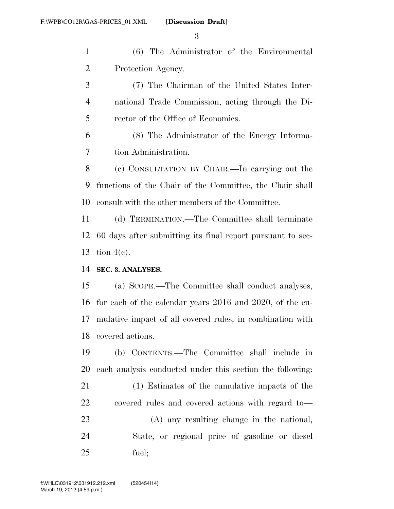(6) The Administrator of the Environmental Protection Agency.

 (7) The Chairman of the United States Inter- national Trade Commission, acting through the Di-rector of the Office of Economics.

 (8) The Administrator of the Energy Informa-tion Administration.

 (c) CONSULTATION BY CHAIR.—In carrying out the functions of the Chair of the Committee, the Chair shall consult with the other members of the Committee.

 (d) TERMINATION.—The Committee shall terminate 60 days after submitting its final report pursuant to sec-tion 4(c).

**SEC. 3. ANALYSES.** 

 (a) SCOPE.—The Committee shall conduct analyses, for each of the calendar years 2016 and 2020, of the cu- mulative impact of all covered rules, in combination with covered actions.

 (b) CONTENTS.—The Committee shall include in each analysis conducted under this section the following:

 (1) Estimates of the cumulative impacts of the covered rules and covered actions with regard to—

 (A) any resulting change in the national, State, or regional price of gasoline or diesel fuel;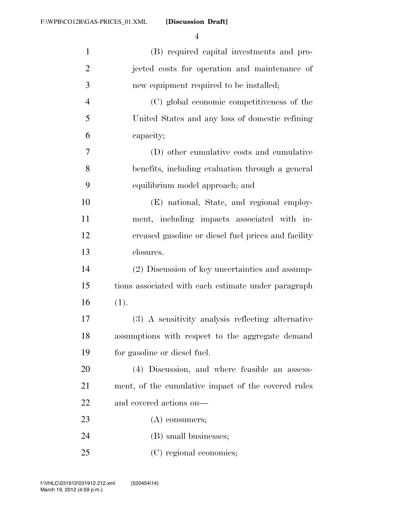**[Discussion Draft]** 

| $\mathbf{1}$   | (B) required capital investments and pro-           |
|----------------|-----------------------------------------------------|
| $\overline{2}$ | jected costs for operation and maintenance of       |
| 3              | new equipment required to be installed;             |
| $\overline{4}$ | (C) global economic competitiveness of the          |
| 5              | United States and any loss of domestic refining     |
| 6              | capacity;                                           |
| 7              | (D) other cumulative costs and cumulative           |
| 8              | benefits, including evaluation through a general    |
| 9              | equilibrium model approach; and                     |
| 10             | (E) national, State, and regional employ-           |
| 11             | ment, including impacts associated with in-         |
| 12             | creased gasoline or diesel fuel prices and facility |
| 13             | closures.                                           |
| 14             | (2) Discussion of key uncertainties and assump-     |
| 15             | tions associated with each estimate under paragraph |
| 16             | (1).                                                |
| 17             | (3) A sensitivity analysis reflecting alternative   |
| 18             | assumptions with respect to the aggregate demand    |
| 19             | for gasoline or diesel fuel.                        |
| 20             | (4) Discussion, and where feasible an assess-       |
| 21             | ment, of the cumulative impact of the covered rules |
| 22             | and covered actions on—                             |
| 23             | $(A)$ consumers;                                    |
| 24             | (B) small businesses;                               |
| 25             | (C) regional economies;                             |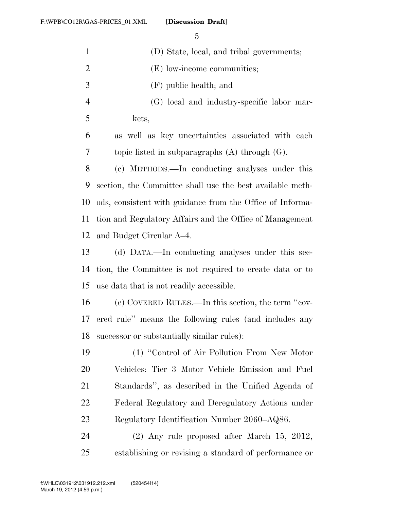| $\mathbf{1}$   | (D) State, local, and tribal governments;                 |
|----------------|-----------------------------------------------------------|
| $\overline{2}$ | (E) low-income communities;                               |
| 3              | (F) public health; and                                    |
| $\overline{4}$ | (G) local and industry-specific labor mar-                |
| 5              | kets,                                                     |
| 6              | as well as key uncertainties associated with each         |
| 7              | topic listed in subparagraphs $(A)$ through $(G)$ .       |
| 8              | (c) METHODS.—In conducting analyses under this            |
| 9              | section, the Committee shall use the best available meth- |
| 10             | ods, consistent with guidance from the Office of Informa- |
| 11             | tion and Regulatory Affairs and the Office of Management  |
| 12             | and Budget Circular A–4.                                  |
| 13             | (d) DATA.—In conducting analyses under this sec-          |
| 14             | tion, the Committee is not required to create data or to  |
| 15             | use data that is not readily accessible.                  |
| 16             | (e) COVERED RULES.—In this section, the term "cov-        |
| 17             | ered rule" means the following rules (and includes any    |
| 18             | successor or substantially similar rules):                |
| 19             | (1) "Control of Air Pollution From New Motor              |
| <b>20</b>      | Vehicles: Tier 3 Motor Vehicle Emission and Fuel          |
| 21             | Standards", as described in the Unified Agenda of         |
| 22             | Federal Regulatory and Deregulatory Actions under         |
| 23             | Regulatory Identification Number 2060–AQ86.               |
| 24             | $(2)$ Any rule proposed after March 15, 2012,             |
| 25             | establishing or revising a standard of performance or     |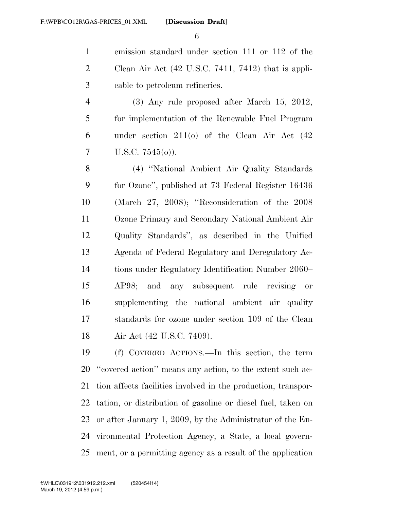emission standard under section 111 or 112 of the Clean Air Act (42 U.S.C. 7411, 7412) that is appli-cable to petroleum refineries.

 (3) Any rule proposed after March 15, 2012, for implementation of the Renewable Fuel Program under section 211(o) of the Clean Air Act (42  $7 \quad U.S.C. 7545(0)$ .

 (4) ''National Ambient Air Quality Standards for Ozone'', published at 73 Federal Register 16436 (March 27, 2008); ''Reconsideration of the 2008 Ozone Primary and Secondary National Ambient Air Quality Standards'', as described in the Unified Agenda of Federal Regulatory and Deregulatory Ac- tions under Regulatory Identification Number 2060– AP98; and any subsequent rule revising or supplementing the national ambient air quality standards for ozone under section 109 of the Clean Air Act (42 U.S.C. 7409).

 (f) COVERED ACTIONS.—In this section, the term ''covered action'' means any action, to the extent such ac- tion affects facilities involved in the production, transpor- tation, or distribution of gasoline or diesel fuel, taken on or after January 1, 2009, by the Administrator of the En- vironmental Protection Agency, a State, a local govern-ment, or a permitting agency as a result of the application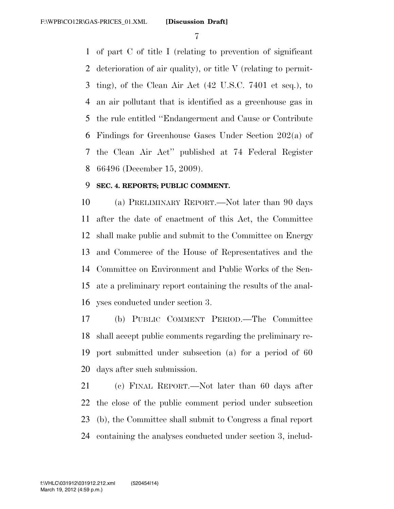of part C of title I (relating to prevention of significant deterioration of air quality), or title V (relating to permit- ting), of the Clean Air Act (42 U.S.C. 7401 et seq.), to an air pollutant that is identified as a greenhouse gas in the rule entitled ''Endangerment and Cause or Contribute Findings for Greenhouse Gases Under Section 202(a) of the Clean Air Act'' published at 74 Federal Register 66496 (December 15, 2009).

### **SEC. 4. REPORTS; PUBLIC COMMENT.**

 (a) PRELIMINARY REPORT.—Not later than 90 days after the date of enactment of this Act, the Committee shall make public and submit to the Committee on Energy and Commerce of the House of Representatives and the Committee on Environment and Public Works of the Sen- ate a preliminary report containing the results of the anal-yses conducted under section 3.

 (b) PUBLIC COMMENT PERIOD.—The Committee shall accept public comments regarding the preliminary re- port submitted under subsection (a) for a period of 60 days after such submission.

 (c) FINAL REPORT.—Not later than 60 days after the close of the public comment period under subsection (b), the Committee shall submit to Congress a final report containing the analyses conducted under section 3, includ-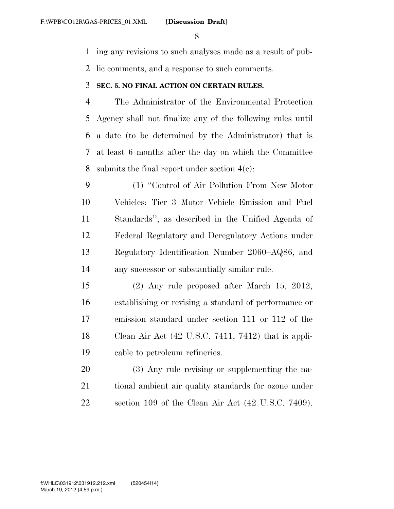ing any revisions to such analyses made as a result of pub-

lic comments, and a response to such comments.

### **SEC. 5. NO FINAL ACTION ON CERTAIN RULES.**

 The Administrator of the Environmental Protection Agency shall not finalize any of the following rules until a date (to be determined by the Administrator) that is at least 6 months after the day on which the Committee 8 submits the final report under section  $4(c)$ :

 (1) ''Control of Air Pollution From New Motor Vehicles: Tier 3 Motor Vehicle Emission and Fuel Standards'', as described in the Unified Agenda of Federal Regulatory and Deregulatory Actions under Regulatory Identification Number 2060–AQ86, and any successor or substantially similar rule.

 (2) Any rule proposed after March 15, 2012, establishing or revising a standard of performance or emission standard under section 111 or 112 of the Clean Air Act (42 U.S.C. 7411, 7412) that is appli-cable to petroleum refineries.

 (3) Any rule revising or supplementing the na- tional ambient air quality standards for ozone under section 109 of the Clean Air Act (42 U.S.C. 7409).